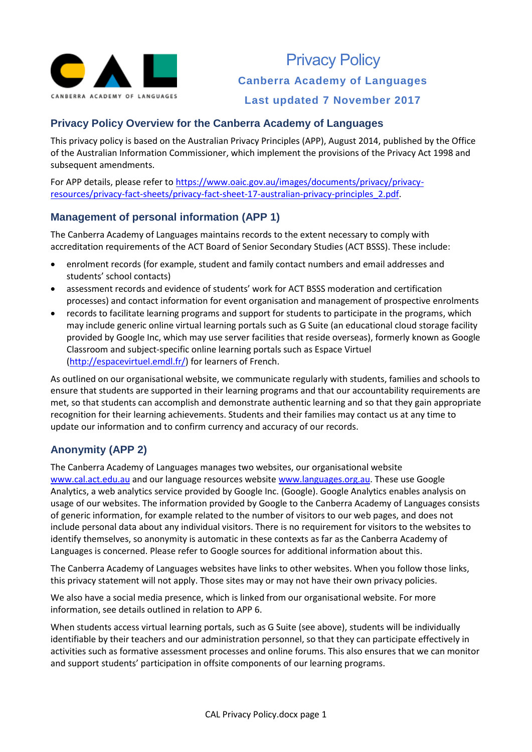

## **Privacy Policy Overview for the Canberra Academy of Languages**

This privacy policy is based on the Australian Privacy Principles (APP), August 2014, published by the Office of the Australian Information Commissioner, which implement the provisions of the Privacy Act 1998 and subsequent amendments.

For APP details, please refer t[o https://www.oaic.gov.au/images/documents/privacy/privacy](https://www.oaic.gov.au/images/documents/privacy/privacy-resources/privacy-fact-sheets/privacy-fact-sheet-17-australian-privacy-principles_2.pdf)[resources/privacy-fact-sheets/privacy-fact-sheet-17-australian-privacy-principles\\_2.pdf.](https://www.oaic.gov.au/images/documents/privacy/privacy-resources/privacy-fact-sheets/privacy-fact-sheet-17-australian-privacy-principles_2.pdf)

### **Management of personal information (APP 1)**

The Canberra Academy of Languages maintains records to the extent necessary to comply with accreditation requirements of the ACT Board of Senior Secondary Studies (ACT BSSS). These include:

- enrolment records (for example, student and family contact numbers and email addresses and students' school contacts)
- assessment records and evidence of students' work for ACT BSSS moderation and certification processes) and contact information for event organisation and management of prospective enrolments
- records to facilitate learning programs and support for students to participate in the programs, which may include generic online virtual learning portals such as G Suite (an educational cloud storage facility provided by Google Inc, which may use server facilities that reside overseas), formerly known as Google Classroom and subject-specific online learning portals such as Espace Virtuel [\(http://espacevirtuel.emdl.fr/\)](http://espacevirtuel.emdl.fr/) for learners of French.

As outlined on our organisational website, we communicate regularly with students, families and schools to ensure that students are supported in their learning programs and that our accountability requirements are met, so that students can accomplish and demonstrate authentic learning and so that they gain appropriate recognition for their learning achievements. Students and their families may contact us at any time to update our information and to confirm currency and accuracy of our records.

# **Anonymity (APP 2)**

The Canberra Academy of Languages manages two websites, our organisational website [www.cal.act.edu.au](http://www.cal.act.edu.au/) and our language resources websit[e www.languages.org.au.](http://www.languages.org.au/) These use Google Analytics, a web analytics service provided by Google Inc. (Google). Google Analytics enables analysis on usage of our websites. The information provided by Google to the Canberra Academy of Languages consists of generic information, for example related to the number of visitors to our web pages, and does not include personal data about any individual visitors. There is no requirement for visitors to the websites to identify themselves, so anonymity is automatic in these contexts as far as the Canberra Academy of Languages is concerned. Please refer to Google sources for additional information about this.

The Canberra Academy of Languages websites have links to other websites. When you follow those links, this privacy statement will not apply. Those sites may or may not have their own privacy policies.

We also have a social media presence, which is linked from our organisational website. For more information, see details outlined in relation to APP 6.

When students access virtual learning portals, such as G Suite (see above), students will be individually identifiable by their teachers and our administration personnel, so that they can participate effectively in activities such as formative assessment processes and online forums. This also ensures that we can monitor and support students' participation in offsite components of our learning programs.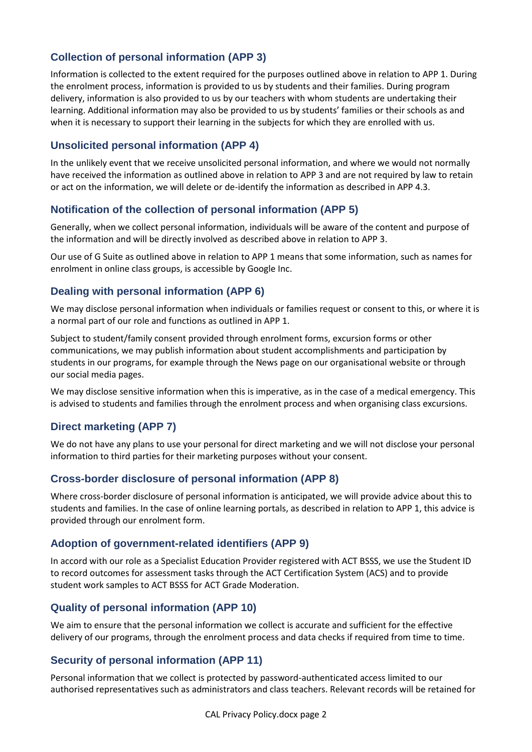# **Collection of personal information (APP 3)**

Information is collected to the extent required for the purposes outlined above in relation to APP 1. During the enrolment process, information is provided to us by students and their families. During program delivery, information is also provided to us by our teachers with whom students are undertaking their learning. Additional information may also be provided to us by students' families or their schools as and when it is necessary to support their learning in the subjects for which they are enrolled with us.

### **Unsolicited personal information (APP 4)**

In the unlikely event that we receive unsolicited personal information, and where we would not normally have received the information as outlined above in relation to APP 3 and are not required by law to retain or act on the information, we will delete or de-identify the information as described in APP 4.3.

#### **Notification of the collection of personal information (APP 5)**

Generally, when we collect personal information, individuals will be aware of the content and purpose of the information and will be directly involved as described above in relation to APP 3.

Our use of G Suite as outlined above in relation to APP 1 means that some information, such as names for enrolment in online class groups, is accessible by Google Inc.

### **Dealing with personal information (APP 6)**

We may disclose personal information when individuals or families request or consent to this, or where it is a normal part of our role and functions as outlined in APP 1.

Subject to student/family consent provided through enrolment forms, excursion forms or other communications, we may publish information about student accomplishments and participation by students in our programs, for example through the News page on our organisational website or through our social media pages.

We may disclose sensitive information when this is imperative, as in the case of a medical emergency. This is advised to students and families through the enrolment process and when organising class excursions.

# **Direct marketing (APP 7)**

We do not have any plans to use your personal for direct marketing and we will not disclose your personal information to third parties for their marketing purposes without your consent.

#### **Cross-border disclosure of personal information (APP 8)**

Where cross-border disclosure of personal information is anticipated, we will provide advice about this to students and families. In the case of online learning portals, as described in relation to APP 1, this advice is provided through our enrolment form.

#### **Adoption of government-related identifiers (APP 9)**

In accord with our role as a Specialist Education Provider registered with ACT BSSS, we use the Student ID to record outcomes for assessment tasks through the ACT Certification System (ACS) and to provide student work samples to ACT BSSS for ACT Grade Moderation.

#### **Quality of personal information (APP 10)**

We aim to ensure that the personal information we collect is accurate and sufficient for the effective delivery of our programs, through the enrolment process and data checks if required from time to time.

#### **Security of personal information (APP 11)**

Personal information that we collect is protected by password-authenticated access limited to our authorised representatives such as administrators and class teachers. Relevant records will be retained for